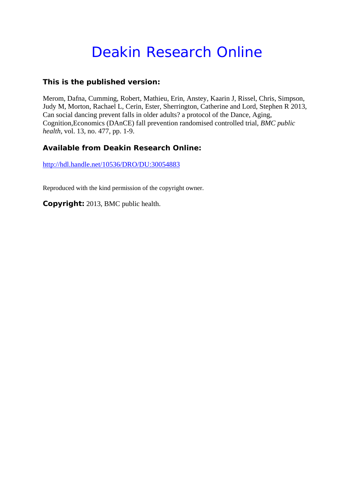# Deakin Research Online

# **This is the published version:**

Merom, Dafna, Cumming, Robert, Mathieu, Erin, Anstey, Kaarin J, Rissel, Chris, Simpson, Judy M, Morton, Rachael L, Cerin, Ester, Sherrington, Catherine and Lord, Stephen R 2013, Can social dancing prevent falls in older adults? a protocol of the Dance, Aging, Cognition,Economics (DAnCE) fall prevention randomised controlled trial*, BMC public health*, vol. 13, no. 477, pp. 1-9.

# **Available from Deakin Research Online:**

http://hdl.handle.net/10536/DRO/DU:30054883

Reproduced with the kind permission of the copyright owner.

**Copyright:** 2013, BMC public health.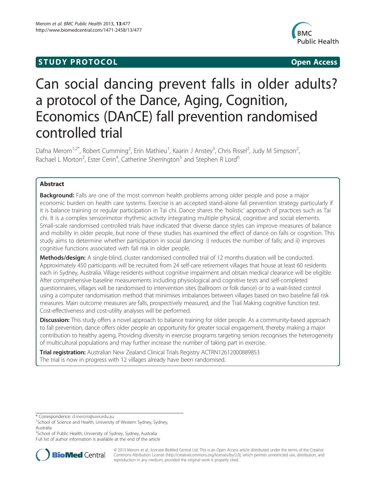# **STUDY PROTOCOL CONSUMING THE CONSUMING OPEN ACCESS**



# Can social dancing prevent falls in older adults? a protocol of the Dance, Aging, Cognition, Economics (DAnCE) fall prevention randomised controlled trial

Dafna Merom<sup>1,2\*</sup>, Robert Cumming<sup>2</sup>, Erin Mathieu<sup>1</sup>, Kaarin J Anstey<sup>3</sup>, Chris Rissel<sup>2</sup>, Judy M Simpson<sup>2</sup> , Rachael L Morton<sup>2</sup>, Ester Cerin<sup>4</sup>, Catherine Sherrington<sup>5</sup> and Stephen R Lord<sup>6</sup>

# Abstract

**Background:** Falls are one of the most common health problems among older people and pose a major economic burden on health care systems. Exercise is an accepted stand-alone fall prevention strategy particularly if it is balance training or regular participation in Tai chi. Dance shares the 'holistic' approach of practices such as Tai chi. It is a complex sensorimotor rhythmic activity integrating multiple physical, cognitive and social elements. Small-scale randomised controlled trials have indicated that diverse dance styles can improve measures of balance and mobility in older people, but none of these studies has examined the effect of dance on falls or cognition. This study aims to determine whether participation in social dancing: i) reduces the number of falls; and ii) improves cognitive functions associated with fall risk in older people.

Methods/design: A single-blind, cluster randomised controlled trial of 12 months duration will be conducted. Approximately 450 participants will be recruited from 24 self-care retirement villages that house at least 60 residents each in Sydney, Australia. Village residents without cognitive impairment and obtain medical clearance will be eligible. After comprehensive baseline measurements including physiological and cognitive tests and self-completed questionnaires, villages will be randomised to intervention sites (ballroom or folk dance) or to a wait-listed control using a computer randomisation method that minimises imbalances between villages based on two baseline fall risk measures. Main outcome measures are falls, prospectively measured, and the Trail Making cognitive function test. Cost-effectiveness and cost-utility analyses will be performed.

Discussion: This study offers a novel approach to balance training for older people. As a community-based approach to fall prevention, dance offers older people an opportunity for greater social engagement, thereby making a major contribution to healthy ageing. Providing diversity in exercise programs targeting seniors recognises the heterogeneity of multicultural populations and may further increase the number of taking part in exercise.

**Trial registration:** Australian New Zealand Clinical Trials Registry [ACTRN12612000889853](https://www.anzctr.org.au/Trial/Registration/TrialReview.aspx?id=362450) The trial is now in progress with 12 villages already have been randomised.

\* Correspondence: [d.merom@uws.edu.au](mailto:d.merom@uws.edu.au) <sup>1</sup>

<sup>1</sup>School of Science and Health, University of Western Sydney, Sydney, Australia

<sup>2</sup>School of Public Health, University of Sydney, Sydney, Australia

Full list of author information is available at the end of the article



© 2013 Merom et al.; licensee BioMed Central Ltd. This is an Open Access article distributed under the terms of the Creative Commons Attribution License [\(http://creativecommons.org/licenses/by/2.0\)](http://creativecommons.org/licenses/by/2.0), which permits unrestricted use, distribution, and reproduction in any medium, provided the original work is properly cited.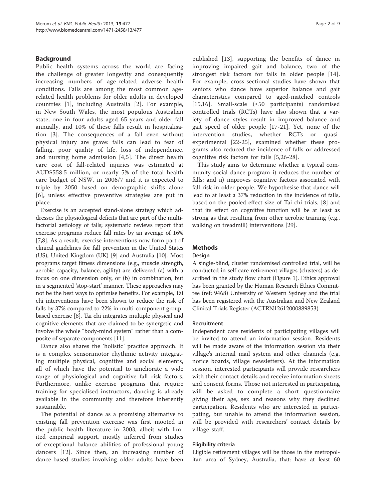# Background

Public health systems across the world are facing the challenge of greater longevity and consequently increasing numbers of age-related adverse health conditions. Falls are among the most common agerelated health problems for older adults in developed countries [[1\]](#page-7-0), including Australia [[2](#page-7-0)]. For example, in New South Wales, the most populous Australian state, one in four adults aged 65 years and older fall annually, and 10% of these falls result in hospitalisation [\[3](#page-7-0)]. The consequences of a fall even without physical injury are grave: falls can lead to fear of falling, poor quality of life, loss of independence, and nursing home admission [[4,5](#page-7-0)]. The direct health care cost of fall-related injuries was estimated at AUD\$558.5 million, or nearly 5% of the total health care budget of NSW, in 2006/7 and it is expected to triple by 2050 based on demographic shifts alone [[6](#page-7-0)], unless effective preventive strategies are put in place.

Exercise is an accepted stand-alone strategy which addresses the physiological deficits that are part of the multifactorial aetiology of falls; systematic reviews report that exercise programs reduce fall rates by an average of 16% [[7,8](#page-7-0)]. As a result, exercise interventions now form part of clinical guidelines for fall prevention in the United States (US), United Kingdom (UK) [[9](#page-8-0)] and Australia [\[10\]](#page-8-0). Most programs target fitness dimensions (e.g., muscle strength, aerobic capacity, balance, agility) are delivered (a) with a focus on one dimension only, or (b) in combination, but in a segmented 'stop-start' manner. These approaches may not be the best ways to optimise benefits. For example, Tai chi interventions have been shown to reduce the risk of falls by 37% compared to 22% in multi-component groupbased exercise [[8\]](#page-7-0). Tai chi integrates multiple physical and cognitive elements that are claimed to be synergetic and involve the whole "body-mind system" rather than a composite of separate components [[11](#page-8-0)].

Dance also shares the 'holistic' practice approach. It is a complex sensorimotor rhythmic activity integrating multiple physical, cognitive and social elements, all of which have the potential to ameliorate a wide range of physiological and cognitive fall risk factors. Furthermore, unlike exercise programs that require training for specialised instructors, dancing is already available in the community and therefore inherently sustainable.

The potential of dance as a promising alternative to existing fall prevention exercise was first mooted in the public health literature in 2003, albeit with limited empirical support, mostly inferred from studies of exceptional balance abilities of professional young dancers [[12\]](#page-8-0). Since then, an increasing number of dance-based studies involving older adults have been published [[13\]](#page-8-0), supporting the benefits of dance in improving impaired gait and balance, two of the strongest risk factors for falls in older people [\[14](#page-8-0)]. For example, cross-sectional studies have shown that seniors who dance have superior balance and gait characteristics compared to aged-matched controls [[15,16](#page-8-0)]. Small-scale (≤50 participants) randomised controlled trials (RCTs) have also shown that a variety of dance styles result in improved balance and gait speed of older people [[17](#page-8-0)-[21\]](#page-8-0). Yet, none of the intervention studies, whether RCTs or quasiexperimental [[22](#page-8-0)-[25\]](#page-8-0), examined whether these programs also reduced the incidence of falls or addressed cognitive risk factors for falls [\[5](#page-7-0),[26-28](#page-8-0)].

This study aims to determine whether a typical community social dance program i) reduces the number of falls; and ii) improves cognitive factors associated with fall risk in older people. We hypothesise that dance will lead to at least a 37% reduction in the incidence of falls, based on the pooled effect size of Tai chi trials, [[8\]](#page-7-0) and that its effect on cognitive function will be at least as strong as that resulting from other aerobic training (e.g., walking on treadmill) interventions [\[29](#page-8-0)].

# **Methods**

#### Design

A single-blind, cluster randomised controlled trial, will be conducted in self-care retirement villages (clusters) as described in the study flow chart (Figure [1](#page-3-0)). Ethics approval has been granted by the Human Research Ethics Committee (ref: 9468) University of Western Sydney and the trial has been registered with the Australian and New Zealand Clinical Trials Register (ACTRN12612000889853).

# Recruitment

Independent care residents of participating villages will be invited to attend an information session. Residents will be made aware of the information session via their village's internal mail system and other channels (e.g. notice boards, village newsletters). At the information session, interested participants will provide researchers with their contact details and receive information sheets and consent forms. Those not interested in participating will be asked to complete a short questionnaire giving their age, sex and reasons why they declined participation. Residents who are interested in participating, but unable to attend the information session, will be provided with researchers' contact details by village staff.

#### Eligibility criteria

Eligible retirement villages will be those in the metropolitan area of Sydney, Australia, that: have at least 60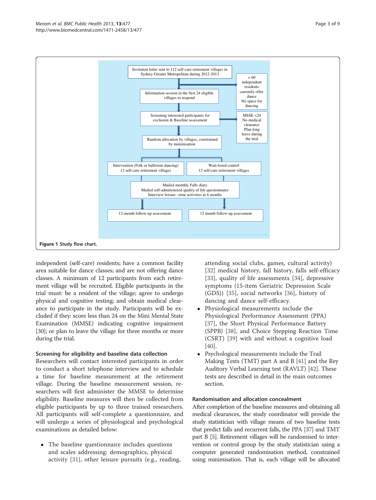independent (self-care) residents; have a common facility area suitable for dance classes; and are not offering dance classes. A minimum of 12 participants from each retirement village will be recruited. Eligible participants in the trial must: be a resident of the village; agree to undergo physical and cognitive testing; and obtain medical clearance to participate in the study. Participants will be excluded if they: score less than 24 on the Mini Mental State Examination (MMSE) indicating cognitive impairment [[30](#page-8-0)]; or plan to leave the village for three months or more during the trial.

### Screening for eligibility and baseline data collection

Researchers will contact interested participants in order to conduct a short telephone interview and to schedule a time for baseline measurement at the retirement village. During the baseline measurement session, researchers will first administer the MMSE to determine eligibility. Baseline measures will then be collected from eligible participants by up to three trained researchers. All participants will self-complete a questionnaire, and will undergo a series of physiological and psychological examinations as detailed below:

• The baseline questionnaire includes questions and scales addressing: demographics, physical activity [\[31](#page-8-0)], other leisure pursuits (e.g., reading,

attending social clubs, games, cultural activity) [[32](#page-8-0)] medical history, fall history, falls self-efficacy [[33](#page-8-0)], quality of life assessments [[34](#page-8-0)], depressive symptoms (15-item Geriatric Depression Scale (GDS)) [[35\]](#page-8-0), social networks [\[36](#page-8-0)], history of dancing and dance self-efficacy.

- Physiological measurements include the Physiological Performance Assessment (PPA) [[37](#page-8-0)], the Short Physical Performance Battery (SPPB) [[38\]](#page-8-0), and Choice Stepping Reaction Time (CSRT) [[39](#page-8-0)] with and without a cognitive load [[40](#page-8-0)].
- Psychological measurements include the Trail Making Tests (TMT) part A and B [\[41\]](#page-8-0) and the Rey Auditory Verbal Learning test (RAVLT) [\[42\]](#page-8-0). These tests are described in detail in the main outcomes section.

#### Randomisation and allocation concealment

After completion of the baseline measures and obtaining all medical clearances, the study coordinator will provide the study statistician with village means of two baseline tests that predict falls and recurrent falls, the PPA [[37](#page-8-0)] and TMT part B [[5](#page-7-0)]. Retirement villages will be randomised to intervention or control group by the study statistician using a computer generated randomisation method, constrained using minimisation. That is, each village will be allocated

<span id="page-3-0"></span>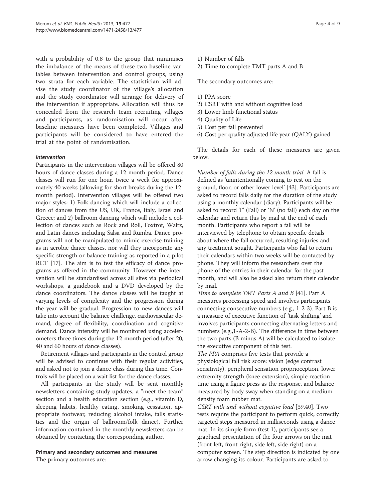with a probability of 0.8 to the group that minimises the imbalance of the means of these two baseline variables between intervention and control groups, using two strata for each variable. The statistician will advise the study coordinator of the village's allocation and the study coordinator will arrange for delivery of the intervention if appropriate. Allocation will thus be concealed from the research team recruiting villages and participants, as randomisation will occur after baseline measures have been completed. Villages and participants will be considered to have entered the trial at the point of randomisation.

## Intervention

Participants in the intervention villages will be offered 80 hours of dance classes during a 12-month period. Dance classes will run for one hour, twice a week for approximately 40 weeks (allowing for short breaks during the 12 month period). Intervention villages will be offered two major styles: 1) Folk dancing which will include a collection of dances from the US, UK, France, Italy, Israel and Greece; and 2) ballroom dancing which will include a collection of dances such as Rock and Roll, Foxtrot, Waltz, and Latin dances including Salsa and Rumba. Dance programs will not be manipulated to mimic exercise training as in aerobic dance classes, nor will they incorporate any specific strength or balance training as reported in a pilot RCT [\[17\]](#page-8-0). The aim is to test the efficacy of dance programs as offered in the community. However the intervention will be standardised across all sites via periodical workshops, a guidebook and a DVD developed by the dance coordinators. The dance classes will be taught at varying levels of complexity and the progression during the year will be gradual. Progression to new dances will take into account the balance challenge, cardiovascular demand, degree of flexibility, coordination and cognitive demand. Dance intensity will be monitored using accelerometers three times during the 12-month period (after 20, 40 and 60 hours of dance classes).

Retirement villages and participants in the control group will be advised to continue with their regular activities, and asked not to join a dance class during this time. Controls will be placed on a wait list for the dance classes.

All participants in the study will be sent monthly newsletters containing study updates, a "meet the team" section and a health education section (e.g., vitamin D, sleeping habits, healthy eating, smoking cessation, appropriate footwear, reducing alcohol intake, falls statistics and the origin of ballroom/folk dance). Further information contained in the monthly newsletters can be obtained by contacting the corresponding author.

## Primary and secondary outcomes and measures The primary outcomes are:

2) Time to complete TMT parts A and B

The secondary outcomes are:

- 1) PPA score
- 2) CSRT with and without cognitive load
- 3) Lower limb functional status
- 4) Quality of Life
- 5) Cost per fall prevented
- 6) Cost per quality adjusted life year (QALY) gained

The details for each of these measures are given below.

Number of falls during the 12 month trial. A fall is defined as 'unintentionally coming to rest on the ground, floor, or other lower level' [\[43\]](#page-8-0). Participants are asked to record falls daily for the duration of the study using a monthly calendar (diary). Participants will be asked to record 'F' (Fall) or 'N' (no fall) each day on the calendar and return this by mail at the end of each month. Participants who report a fall will be interviewed by telephone to obtain specific details about where the fall occurred, resulting injuries and any treatment sought. Participants who fail to return their calendars within two weeks will be contacted by phone. They will inform the researchers over the phone of the entries in their calendar for the past month, and will also be asked also return their calendar by mail.

Time to complete TMT Parts A and B [\[41](#page-8-0)]. Part A measures processing speed and involves participants connecting consecutive numbers (e.g., 1-2-3). Part B is a measure of executive function of 'task shifting' and involves participants connecting alternating letters and numbers (e.g.,1-A-2-B). The difference in time between the two parts (B minus A) will be calculated to isolate the executive component of this test.

The PPA comprises five tests that provide a physiological fall risk score: vision (edge contrast sensitivity), peripheral sensation proprioception, lower extremity strength (knee extension), simple reaction time using a figure press as the response, and balance measured by body sway when standing on a mediumdensity foam rubber mat.

CSRT with and without cognitive load [[39,40](#page-8-0)]. Two tests require the participant to perform quick, correctly targeted steps measured in milliseconds using a dance mat. In its simple form (test 1), participants see a graphical presentation of the four arrows on the mat (front left, front right, side left, side right) on a computer screen. The step direction is indicated by one arrow changing its colour. Participants are asked to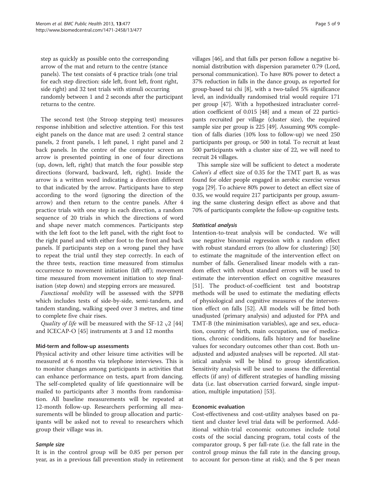step as quickly as possible onto the corresponding arrow of the mat and return to the centre (stance panels). The test consists of 4 practice trials (one trial for each step direction: side left, front left, front right, side right) and 32 test trials with stimuli occurring randomly between 1 and 2 seconds after the participant returns to the centre.

The second test (the Stroop stepping test) measures response inhibition and selective attention. For this test eight panels on the dance mat are used: 2 central stance panels, 2 front panels, 1 left panel, 1 right panel and 2 back panels. In the centre of the computer screen an arrow is presented pointing in one of four directions (up, down, left, right) that match the four possible step directions (forward, backward, left, right). Inside the arrow is a written word indicating a direction different to that indicated by the arrow. Participants have to step according to the word (ignoring the direction of the arrow) and then return to the centre panels. After 4 practice trials with one step in each direction, a random sequence of 20 trials in which the directions of word and shape never match commences. Participants step with the left foot to the left panel, with the right foot to the right panel and with either foot to the front and back panels. If participants step on a wrong panel they have to repeat the trial until they step correctly. In each of the three tests, reaction time measured from stimulus occurrence to movement initiation (lift off ); movement time measured from movement initiation to step finalisation (step down) and stepping errors are measured.

Functional mobility will be assessed with the SPPB which includes tests of side-by-side, semi-tandem, and tandem standing, walking speed over 3 metres, and time to complete five chair rises.

Quality of life will be measured with the SF-12  $_{\rm V}$ 2 [[44](#page-8-0)] and ICECAP-O [[45\]](#page-8-0) instruments at 3 and 12 months

#### Mid-term and follow-up assessments

Physical activity and other leisure time activities will be measured at 6 months via telephone interviews. This is to monitor changes among participants in activities that can enhance performance on tests, apart from dancing. The self-completed quality of life questionnaire will be mailed to participants after 3 months from randomisation. All baseline measurements will be repeated at 12-month follow-up. Researchers performing all measurements will be blinded to group allocation and participants will be asked not to reveal to researchers which group their village was in.

# Sample size

It is in the control group will be 0.85 per person per year, as in a previous fall prevention study in retirement villages [\[46\]](#page-8-0), and that falls per person follow a negative binomial distribution with dispersion parameter 0.79 (Lord, personal communication). To have 80% power to detect a 37% reduction in falls in the dance group, as reported for group-based tai chi [\[8](#page-7-0)], with a two-tailed 5% significance level, an individually randomised trial would require 171 per group [\[47\]](#page-8-0). With a hypothesized intracluster correlation coefficient of 0.015 [\[48\]](#page-8-0) and a mean of 22 participants recruited per village (cluster size), the required sample size per group is 225 [[49](#page-8-0)]. Assuming 90% completion of falls diaries (10% loss to follow-up) we need 250 participants per group, or 500 in total. To recruit at least 500 participants with a cluster size of 22, we will need to recruit 24 villages.

This sample size will be sufficient to detect a moderate Cohen's d effect size of 0.35 for the TMT part B, as was found for older people engaged in aerobic exercise versus yoga [[29](#page-8-0)]. To achieve 80% power to detect an effect size of 0.35, we would require 217 participants per group, assuming the same clustering design effect as above and that 70% of participants complete the follow-up cognitive tests.

# Statistical analysis

Intention-to-treat analysis will be conducted. We will use negative binomial regression with a random effect with robust standard errors (to allow for clustering) [[50](#page-8-0)] to estimate the magnitude of the intervention effect on number of falls. Generalised linear models with a random effect with robust standard errors will be used to estimate the intervention effect on cognitive measures [[51\]](#page-8-0). The product-of-coefficient test and bootstrap methods will be used to estimate the mediating effects of physiological and cognitive measures of the intervention effect on falls [[52\]](#page-8-0). All models will be fitted both unadjusted (primary analysis) and adjusted for PPA and TMT-B (the minimisation variables), age and sex, education, country of birth, main occupation, use of medications, chronic conditions, falls history and for baseline values for secondary outcomes other than cost. Both unadjusted and adjusted analyses will be reported. All statistical analysis will be blind to group identification. Sensitivity analysis will be used to assess the differential effects (if any) of different strategies of handling missing data (i.e. last observation carried forward, single imputation, multiple imputation) [[53\]](#page-8-0).

## Economic evaluation

Cost-effectiveness and cost-utility analyses based on patient and cluster level trial data will be performed. Additional within-trial economic outcomes include total costs of the social dancing program, total costs of the comparator group, \$ per fall-rate (i.e. the fall rate in the control group minus the fall rate in the dancing group, to account for person-time at risk); and the \$ per mean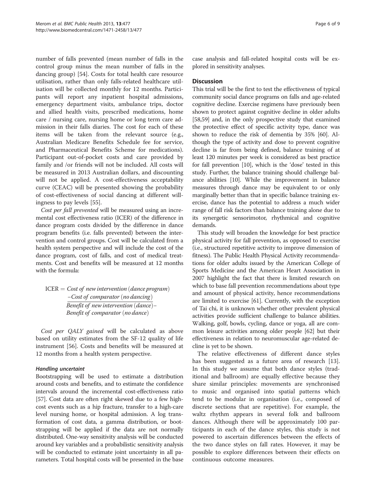number of falls prevented (mean number of falls in the control group minus the mean number of falls in the dancing group) [[54\]](#page-8-0). Costs for total health care resource utilisation, rather than only falls-related healthcare utilisation will be collected monthly for 12 months. Participants will report any inpatient hospital admissions, emergency department visits, ambulance trips, doctor and allied health visits, prescribed medications, home care / nursing care, nursing home or long term care admission in their falls diaries. The cost for each of these items will be taken from the relevant source (e.g., Australian Medicare Benefits Schedule fee for service, and Pharmaceutical Benefits Scheme for medications). Participant out-of-pocket costs and care provided by family and /or friends will not be included. All costs will be measured in 2013 Australian dollars, and discounting will not be applied. A cost-effectiveness acceptability curve (CEAC) will be presented showing the probability of cost-effectiveness of social dancing at different willingness to pay levels [\[55](#page-8-0)].

Cost per fall prevented will be measured using an incremental cost effectiveness ratio (ICER) of the difference in dance program costs divided by the difference in dance program benefits (i.e. falls prevented) between the intervention and control groups. Cost will be calculated from a health system perspective and will include the cost of the dance program, cost of falls, and cost of medical treatments. Cost and benefits will be measured at 12 months with the formula:

 $ICER = Cost of new intervention (dance program)$ −Cost of comparator (no dancing) Benefit of new intervention  $(dance)$  – Benefit of comparator (no dance)

Cost per QALY gained will be calculated as above based on utility estimates from the SF-12 quality of life instrument [[56\]](#page-8-0). Costs and benefits will be measured at 12 months from a health system perspective.

# Handling uncertaint

Bootstrapping will be used to estimate a distribution around costs and benefits, and to estimate the confidence intervals around the incremental cost-effectiveness ratio [[57](#page-9-0)]. Cost data are often right skewed due to a few highcost events such as a hip fracture, transfer to a high-care level nursing home, or hospital admission. A log transformation of cost data, a gamma distribution, or bootstrapping will be applied if the data are not normally distributed. One-way sensitivity analysis will be conducted around key variables and a probabilistic sensitivity analysis will be conducted to estimate joint uncertainty in all parameters. Total hospital costs will be presented in the base case analysis and fall-related hospital costs will be explored in sensitivity analyses.

# **Discussion**

This trial will be the first to test the effectiveness of typical community social dance programs on falls and age-related cognitive decline. Exercise regimens have previously been shown to protect against cognitive decline in older adults [[58,59](#page-9-0)] and, in the only prospective study that examined the protective effect of specific activity type, dance was shown to reduce the risk of dementia by 35% [\[60](#page-9-0)]. Although the type of activity and dose to prevent cognitive decline is far from being defined, balance training of at least 120 minutes per week is considered as best practice for fall prevention [\[10\]](#page-8-0), which is the 'dose' tested in this study. Further, the balance training should challenge balance abilities [\[10](#page-8-0)]. While the improvement in balance measures through dance may be equivalent to or only marginally better than that in specific balance training exercise, dance has the potential to address a much wider range of fall risk factors than balance training alone due to its synergetic sensorimotor, rhythmical and cognitive demands.

This study will broaden the knowledge for best practice physical activity for fall prevention, as opposed to exercise (i.e., structured repetitive activity to improve dimension of fitness). The Public Health Physical Activity recommendations for older adults issued by the American College of Sports Medicine and the American Heart Association in 2007 highlight the fact that there is limited research on which to base fall prevention recommendations about type and amount of physical activity, hence recommendations are limited to exercise [\[61\]](#page-9-0). Currently, with the exception of Tai chi, it is unknown whether other prevalent physical activities provide sufficient challenge to balance abilities. Walking, golf, bowls, cycling, dance or yoga, all are common leisure activities among older people [[62](#page-9-0)] but their effectiveness in relation to neuromuscular age-related decline is yet to be shown.

The relative effectiveness of different dance styles has been suggested as a future area of research [\[13](#page-8-0)]. In this study we assume that both dance styles (traditional and ballroom) are equally effective because they share similar principles: movements are synchronised to music and organised into spatial patterns which tend to be modular in organisation (i.e., composed of discrete sections that are repetitive). For example, the waltz rhythm appears in several folk and ballroom dances. Although there will be approximately 100 participants in each of the dance styles, this study is not powered to ascertain differences between the effects of the two dance styles on fall rates. However, it may be possible to explore differences between their effects on continuous outcome measures.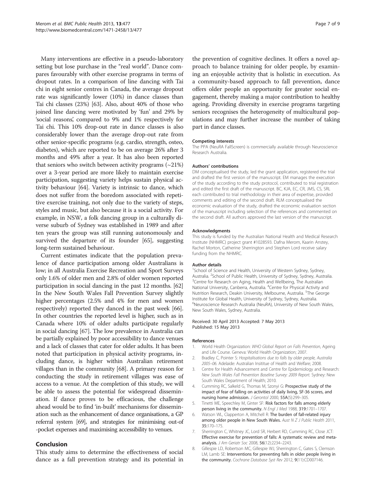<span id="page-7-0"></span>Many interventions are effective in a pseudo-laboratory setting but lose purchase in the "real world". Dance compares favourably with other exercise programs in terms of dropout rates. In a comparison of line dancing with Tai chi in eight senior centres in Canada, the average dropout rate was significantly lower (10%) in dance classes than Tai chi classes (23%) [\[63\]](#page-9-0). Also, about 40% of those who joined line dancing were motivated by 'fun' and 29% by 'social reasons', compared to 9% and 1% respectively for Tai chi. This 10% drop-out rate in dance classes is also considerably lower than the average drop-out rate from other senior-specific programs (e.g. cardio, strength, osteo, diabetes), which are reported to be on average 26% after 3 months and 49% after a year. It has also been reported that seniors who switch between activity programs  $(\sim 21\%)$ over a 3-year period are more likely to maintain exercise participation, suggesting variety helps sustain physical activity behaviour [\[64\]](#page-9-0). Variety is intrinsic to dance, which does not suffer from the boredom associated with repetitive exercise training, not only due to the variety of steps, styles and music, but also because it is a social activity. For example, in NSW, a folk dancing group in a culturally diverse suburb of Sydney was established in 1989 and after ten years the group was still running autonomously and survived the departure of its founder [\[65\]](#page-9-0), suggesting long-term sustained behaviour.

Current estimates indicate that the population prevalence of dance participation among older Australians is low; in all Australia Exercise Recreation and Sport Surveys only 1.6% of older men and 2.8% of older women reported participation in social dancing in the past 12 months. [[62](#page-9-0)] In the New South Wales Fall Prevention Survey slightly higher percentages (2.5% and 4% for men and women respectively) reported they danced in the past week [[66](#page-9-0)]. In other countries the reported level is higher, such as in Canada where 10% of older adults participate regularly in social dancing [\[67\]](#page-9-0). The low prevalence in Australia can be partially explained by poor accessibility to dance venues and a lack of classes that cater for older adults. It has been noted that participation in physical activity programs, including dance, is higher within Australian retirement villages than in the community [[68](#page-9-0)]. A primary reason for conducting the study in retirement villages was ease of access to a venue. At the completion of this study, we will be able to assess the potential for widespread dissemination. If dance proves to be efficacious, the challenge ahead would be to find 'in-built' mechanisms for dissemination such as the enhancement of dance organisations, a GP referral system [\[69\]](#page-9-0), and strategies for minimising out-of -pocket expenses and maximising accessibility to venues.

# Conclusion

This study aims to determine the effectiveness of social dance as a fall prevention strategy and its potential in

the prevention of cognitive declines. It offers a novel approach to balance training for older people, by examining an enjoyable activity that is holistic in execution. As a community-based approach to fall prevention, dance offers older people an opportunity for greater social engagement, thereby making a major contribution to healthy ageing. Providing diversity in exercise programs targeting seniors recognises the heterogeneity of multicultural populations and may further increase the number of taking part in dance classes.

#### Competing interests

The PPA (NeuRA FallScreen) is commercially available through Neuroscience Research Australia.

#### Authors' contributions

DM conceptualised the study, led the grant application, registered the trial and drafted the first version of the manuscript. EM manages the execution of the study according to the study protocol, contributed to trial registration and edited the first draft of the manuscript. BC, KJA, EC, CR, JMS, CS, SRL each contributed to trial methodology in their area of expertise, provided comments and editing of the second draft. RLM conceptualised the economic evaluation of the study, drafted the economic evaluation section of the manuscript including selection of the references and commented on the second draft. All authors approved the last version of the manuscript.

#### Acknowledgments

This study is funded by the Australian National Health and Medical Research Institute (NHMRC) project grant #1028593. Dafna Merom, Kaarin Anstey, Rachel Morton, Catherine Sherrington and Stephen Lord receive salary funding from the NHMRC.

#### Author details

<sup>1</sup>School of Science and Health, University of Western Sydney, Sydney, Australia. <sup>2</sup> School of Public Health, University of Sydney, Sydney, Australia.<br><sup>3</sup> Centre for Besearch on Aging, Health and Wellbeing. The Australian. <sup>3</sup> Centre for Research on Aging, Health and Wellbeing, The Australian National University, Canberra, Australia. <sup>4</sup>Centre for Physical Activity and Nutrition Research, Deakin University, Melbourne, Australia. <sup>5</sup>The George Institute for Global Health, University of Sydney, Sydney, Australia. <sup>6</sup>Neuroscience Research Australia (NeuRA), University of New South Wales, New South Wales, Sydney, Australia.

#### Received: 30 April 2013 Accepted: 7 May 2013 Published: 15 May 2013

#### References

- 1. World Health Organization: WHO Global Report on Falls Prevention, Ageing and Life Course. Geneva: World Health Organization; 2007.
- 2. Bradley C, Pointer S: Hospitalisations due to falls by older people, Australia 2005–06. Adelaide: Australian Insititue of Health and Welfare; 2008.
- Centre for Health Advancement and Centre for Epidemiology and Research: New South Wales Fall Prevention Baseline Survey: 2009 Report. Sydney: New South Wales Department of Health; 2010.
- 4. Cumming RC, Salkeld G, Thomas M, Szonyi G: Prospective study of the impact of fear of falling on activities of daily living, SF-36 scores, and nursing home admission. J Gerontol 2000, 55A(5):299–305.
- 5. Tinetti ME, Speechley M, Ginter SF: Risk factors for falls among elderly person living in the community. N Engl J Med 1988, 319:1701–1707.
- Watson WL, Clapperton A, Mitchell R: The burden of fall-related injury among older people in New South Wales. Aust N Z J Public Health 2011, 35:170–175.
- 7. Sherrington C, Whitney JC, Lord SR, Herbert RD, Cumming RC, Close JCT: Effective exercise for prevention of falls: A systematic review and metaanalysis. J Am Geriatr Soc 2008, 56(12):2234–2243.
- 8. Gillespie LD, Robertson MC, Gillespie WJ, Sherrington C, Gates S, Clemson LM, Lamb SE: Interventions for preventing falls in older people living in the community. Cochrane Database Syst Rev 2012, 9(11):CD007146.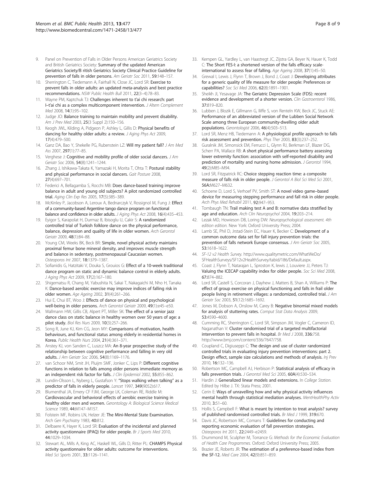- <span id="page-8-0"></span>9. Panel on Prevention of Falls in Older Persons American Geriatrics Society and British Geriatrics Society: Summary of the updated American Geriatrics Society/B ritish Geriatrics Society Clinical Practice Guideline for prevention of falls in older persons. Am Geriatr Soc 2011, 59:148-157.
- 10. Sherrington C, Tiedemann A, Fairhall N, Close JC, Lord SR: Exercise to prevent falls in older adults: an updated meta-analysis and best practice recommendations. NSW Public Health Bull 2011, 22(3–4):78–83.
- 11. Wayne PM, Kaptchuk TJ: Challenges inherent to t'ai chi research: part I–t'ai chi as a complex multicomponent intervention. J Altern Complement Med 2008, 14(1):95–102.
- 12. Judge JO: Balance training to maintain mobility and prevent disability. Am J Prev Med 2003, 25(3 Suppl 2):150–156.
- 13. Keogh JWL, Kilding A, Pidgeon P, Ashley L, Gillis D: Physical benefits of dancing for healthy older adults: a review. J Aging Phys Act 2009, 17(4):479–500.
- 14. Ganz DA, Bao Y, Shekelle PG, Rubenstein LZ: Will my patient fall? J Am Med Ass 2007, 297(1):77–85.
- 15. Verghese J: Cognitive and mobility profile of older social dancers. J Am Geriatr Soc 2006, 54(8):1241–1244.
- 16. Zhang J, Ishikawa-Takata K, Yamazaki H, Morita T, Ohta T: Postural stability and physical performance in social dancers. Gait Posture 2008, 27(4):697–701.
- 17. Federici A, Bellagamba S, Rocchi MB: Does dance-based training improve balance in adult and young old subjects? A pilot randomized controlled trial. Aging Clin Exp Res 2005, 17(5):385–389.
- 18. McKinley P, Jacobson A, Leroux A, Bednarczyk V, Rossignol M, Fung J: Effect of a community-based Argentine tango dance program on functional balance and confidence in older adults. J Aging Phys Act 2008, 16(4):435–453.
- 19. Eyigor S, Karapolat H, Durmaz B, Ibisoglu U, Cakir S: A randomized controlled trial of Turkish folklore dance on the physical performance, balance, depression and quality of life in older women. Arch Gerontol Geriatr 2009, 48(1):84–88.
- 20. Young CM, Weeks BK, Beck BR: Simple, novel physical activty maintains proximal femur bone mineral density, and improves muscle strength and balance in sedentary, postmenopausal Caucasian women. Osteoporos Int 2007, 18:1379–1387.
- 21. Sofianidis G, Hatzitaki V, Douka S, Grouios G: Effect of a 10-week traditional dance program on static and dynamic balance control in elderly adults. J Aging Phys Act 2009, 17(2):167–180.
- 22. Shigematsu R, Chang M, Yabushita N, Sakai T, Nakagaichi M, Nho H, Tanaka K: Dance-based aerobic exercise may improve indices of falling risk in older women. Age Ageing 2002, 31(4):261–266.
- 23. Hui E, Chui BT, Woo J: Effects of dance on physical and psychological well-being in older persons. Arch Gerontol Geriatr 2009, 49(1):e45–e50.
- 24. Wallmann HW, Gillis CB, Alpert PT, Miller SK: The effect of a senior jazz dance class on static balance in healthy women over 50 years of age: a pilot study. Biol Res Nurs 2009, 10(3):257–266.
- 25. Song R, June KJ, Kim CG, Jeon MY: Comparisons of motivation, health behaviours, and functional status among elderly in residential homes in Korea. Public Health Nurs 2004, 21(4):361–371.
- 26. Anstey KJ, von Sanden C, Luszcz MA: An 8-year prospective study of the relationship between cognitive performance and falling in very old adults. J Am Geriatr Soc 2006, 54(8):1169–1176.
- 27. van Schoor NM, Smit JH, Pluijm SMF, Jonker C, Lips P: Different cognitive functions in relation to falls among older persons immediate memory as an independent risk factor for falls. J Clin Epidemiol 2002, 55:855-862.
- 28. Lundin-Olsson L, Nyberg L, Gustafson Y: "Stops walking when talking" as a predictor of falls in elderly people. Lancet 1997, 349(9052):617.
- 29. Blumenthal JA, Emery CF FJM, George LK, Coleman RE, Riddle M: Cardiovascular and behavioral effects of aerobic exercise training in healthy older men and women. Gerontology A: Biological Science Medical Science 1989, 44:M147–M157.
- 30. Folstein MF, Robins LN, Helzer JE: The Mini-Mental State Examination. Arch Gen Psychiatry 1983, 40:812.
- 31. Delbaere K, Hayer K, Lord SR: Evaluation of the incidental and planned activity questionnaire (IPAQ) for older people. Br J Sports Med 2010, 44:1029–1034.
- 32. Stewart AL, Mills A, King AC, Haskell WL, Gills D, Ritter PL: CHAMPS Physical activity questionnaire for older adults: outcome for interventions. Med Sci Sports 2001, 33:1126–1141.
- 33. Kempen GL, Yardley L, van Haastregt JC, Zijstra GA, Beyer N, Hauer K, Todd C: The Short FES-I: a shortened version of the falls efficacy scaleinternational to assess fear of falling. Age Ageing 2008, 37(1):45–50.
- 34. Grewal I, Lewis J, Flynn T, Brown J, Bond J, Coast J: Developing attributes for a generic quality of life measure for older people: Preferences or capabilities? Soc Sci Med 2006, 62(8):1891–1901.
- 35. Sheikh JI, Yesavage JA: The Geriatric Depression Scale (FDS): recent evidence and development of a shorter version. Clin Gastroenterol 1986, 37:819–820.
- 36. Lubben J, Blozik E, Gillmann G, Iliffe S, von Renteln KW, Beck JC, Stuck AE: Performance of an abbreviated version of the Lubben Social Network Scale among three European community-dwelling older adult populations. Gerontologist 2006, 46(4):503–513.
- 37. Lord SR, Menz HB, Tiedemann A: A physiological profile approach to falls risk assessment and prevention. Phys Ther 2003, 83(3):237–252.
- 38. Guralnik JM, Simonsick EM, Ferrucci L, Glynn RJ, Berkman LF, Blazer DG, Scherr PA, Wallace RB: A short physical performance battery assessing lower extremity function: association with self-reported disability and prediction of mortality and nursing home admission. J Gerontol 1994, 49(2):M85–M94.
- 39. Lord SR, Fitzpatrick RC: Choice stepping reaction time: a composite measure of falls risk in older people. J Gerontol A Biol Sci Med Sci 2001, 56A:M627–M632.
- 40. Schoene D, Lord S, Verhoef PV, Smith ST: A novel video game-based device for measuring stepping performance and fall risk in older people. Arch Phys Med Rehabil 2011, 92:947–953.
- 41. Tombaugh TN: Trail making test A and B: normative data stratified by age and education. Arch Clin Neuropsychol 2004, 19:203–214.
- 42. Lezak MD, Howieson DB, Loring DW: Neuropsychological assessment. 4th edition edition. New York: Oxford University Press; 2004.
- 43. Lamb SE, Phil D, Jrstad-Stein EC, Hauer K, Becker C: Development of a common outcome data set for fall injury prevention trials: the prevention of falls network Europe consensus. J Am Geriatr Soc 2005, 53:1618–1622.
- 44. SF-12 v2 Health Survey. [http://www.qualitymetric.com/WhatWeDo/](http://www.qualitymetric.com/WhatWeDo/SFHealthSurveys/SF12v2HealthSurvey/tabid/186/Default.aspx) [SFHealthSurveys/SF12v2HealthSurvey/tabid/186/Default.aspx](http://www.qualitymetric.com/WhatWeDo/SFHealthSurveys/SF12v2HealthSurvey/tabid/186/Default.aspx).
- 45. Coast J, Flynn T, Natarajan L, Sproston K, lewis J, Louviere JJ, Peters TJ: Valuing the ICECAP capability index for older people. Soc Sci Med 2008, 67:874–882.
- 46. Lord SR, Castell S, Corcoran J, Dayhew J, Matters B, Shan A, Williams P: The effect of group exercise on physical functioning and falls in frail older people living in retirement villages: a randomized, controlled trial. J Am Geriatr Soc 2003, 51(12):1685–1692.
- 47. Jones M, Dobson A, Onslow M, Carey B: Negative binomial mixed models for analysis of stuttering rates. Comput Stat Data Analysis 2009, 53:4590–4600.
- 48. Cumming RC, Sherrington C, Lord SR, Simpson JM, Vogler C, Cameron ID, Naganathan V: Cluster randomised trial of a targeted multifactorial intervention to prevent falls in hospital. Br Med J 2008, 336:758. <http://www.bmj.com/content/336/7647/758>.
- 49. Coupland C, Digiuseppi C: The design and use of cluster randomized controlled trials in evaluating injury prevention interventions: part 2. Design effect, sample size calculations and methods of analysis. Inj Prev 2010, 16:132–136.
- 50. Robertson MC, Campbell AJ, Herbison P: Statistical analysis of efficacy in falls prevention trials. J Gerontol Med Sci 2005, 60A(4):530-534.
- 51. Hardin J: Generalized linear models and extensions. In College Station. Edited by Hilbe J. TX: Stata Press; 2001.
- 52. Cerin E: Ways of unravelling how and why physical activity influences mental health through statistical mediation analyses. MentHealthPhy Activ 2010, 3:51–60.
- 53. Hollis S, Campbell F: What is meant by intention to treat analysis? survey of published randomised controlled trials. Br Med J 1999, 319:670.
- 54. Davis JC, Robertson MC, Comans T: Guidelines for conducting and reporting economic evaluation of fall prevention strategies. Osteoporos Int 2011, 22:2449–e2459.
- 55. Drummond M, Sculpher M, Torrance G: Methods for the Economic Evaluation of Health Care Programmes. Oxford: Oxford University Press; 2005.
- 56. Brazier JE, Roberts JR: The estimation of a preference-based index from the SF-12. Med Care 2004, 42(9):851–859.